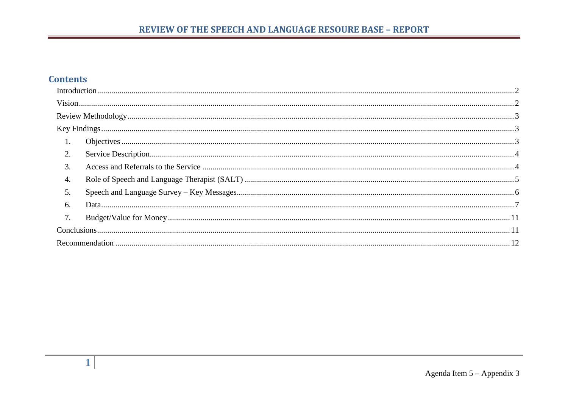## **Contents**

|    | $\frac{1}{2}$ |  |
|----|---------------|--|
|    |               |  |
|    |               |  |
|    |               |  |
| 2. |               |  |
| 3. |               |  |
| 4. |               |  |
| 5. |               |  |
| 6. |               |  |
| 7. |               |  |
|    |               |  |
|    |               |  |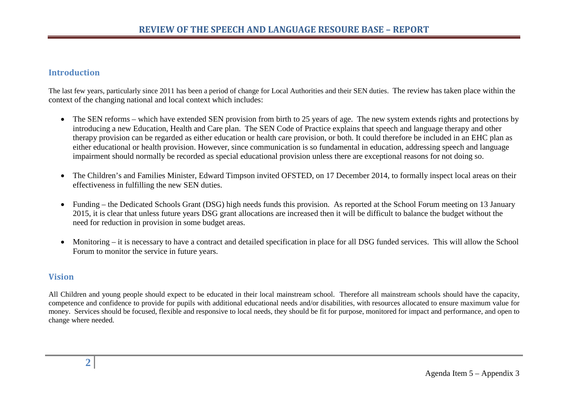## <span id="page-1-0"></span>**Introduction**

The last few years, particularly since 2011 has been a period of change for Local Authorities and their SEN duties. The review has taken place within the context of the changing national and local context which includes:

- The SEN reforms which have extended SEN provision from birth to 25 years of age. The new system extends rights and protections by introducing a new Education, Health and Care plan. The SEN Code of Practice explains that speech and language therapy and other therapy provision can be regarded as either education or health care provision, or both. It could therefore be included in an EHC plan as either educational or health provision. However, since communication is so fundamental in education, addressing speech and language impairment should normally be recorded as special educational provision unless there are exceptional reasons for not doing so.
- The Children's and Families Minister, Edward Timpson invited OFSTED, on 17 December 2014, to formally inspect local areas on their effectiveness in fulfilling the new SEN duties.
- Funding the Dedicated Schools Grant (DSG) high needs funds this provision. As reported at the School Forum meeting on 13 January 2015, it is clear that unless future years DSG grant allocations are increased then it will be difficult to balance the budget without the need for reduction in provision in some budget areas.
- Monitoring it is necessary to have a contract and detailed specification in place for all DSG funded services. This will allow the School Forum to monitor the service in future years.

## <span id="page-1-1"></span>**Vision**

All Children and young people should expect to be educated in their local mainstream school. Therefore all mainstream schools should have the capacity, competence and confidence to provide for pupils with additional educational needs and/or disabilities, with resources allocated to ensure maximum value for money. Services should be focused, flexible and responsive to local needs, they should be fit for purpose, monitored for impact and performance, and open to change where needed.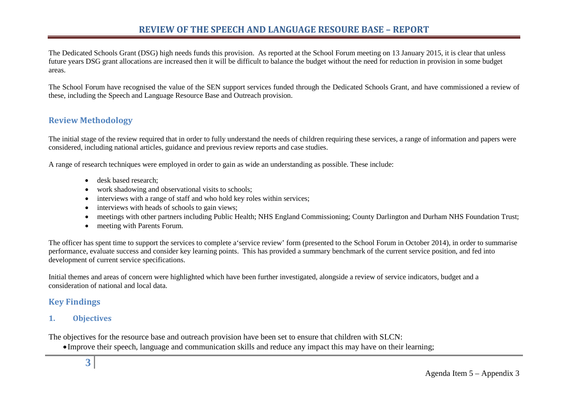The Dedicated Schools Grant (DSG) high needs funds this provision. As reported at the School Forum meeting on 13 January 2015, it is clear that unless future years DSG grant allocations are increased then it will be difficult to balance the budget without the need for reduction in provision in some budget areas.

The School Forum have recognised the value of the SEN support services funded through the Dedicated Schools Grant, and have commissioned a review of these, including the Speech and Language Resource Base and Outreach provision.

## <span id="page-2-0"></span>**Review Methodology**

The initial stage of the review required that in order to fully understand the needs of children requiring these services, a range of information and papers were considered, including national articles, guidance and previous review reports and case studies.

A range of research techniques were employed in order to gain as wide an understanding as possible. These include:

- desk based research:
- work shadowing and observational visits to schools;
- interviews with a range of staff and who hold key roles within services;
- interviews with heads of schools to gain views;
- meetings with other partners including Public Health; NHS England Commissioning; County Darlington and Durham NHS Foundation Trust;
- meeting with Parents Forum.

The officer has spent time to support the services to complete a'service review' form (presented to the School Forum in October 2014), in order to summarise performance, evaluate success and consider key learning points. This has provided a summary benchmark of the current service position, and fed into development of current service specifications.

Initial themes and areas of concern were highlighted which have been further investigated, alongside a review of service indicators, budget and a consideration of national and local data.

## <span id="page-2-1"></span>**Key Findings**

## <span id="page-2-2"></span>**1. Objectives**

The objectives for the resource base and outreach provision have been set to ensure that children with SLCN:

• Improve their speech, language and communication skills and reduce any impact this may have on their learning;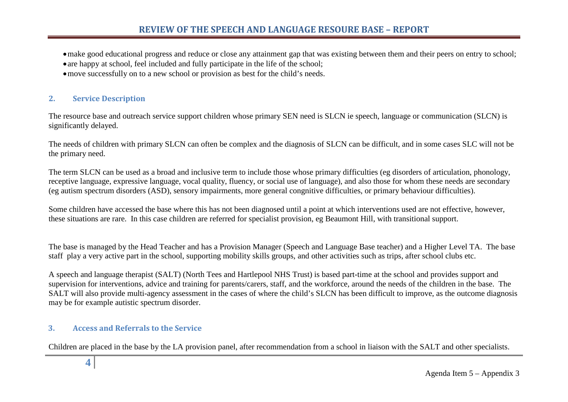•make good educational progress and reduce or close any attainment gap that was existing between them and their peers on entry to school; • are happy at school, feel included and fully participate in the life of the school;

• move successfully on to a new school or provision as best for the child's needs.

#### <span id="page-3-0"></span>**2. Service Description**

The resource base and outreach service support children whose primary SEN need is SLCN ie speech, language or communication (SLCN) is significantly delayed.

The needs of children with primary SLCN can often be complex and the diagnosis of SLCN can be difficult, and in some cases SLC will not be the primary need.

The term SLCN can be used as a broad and inclusive term to include those whose primary difficulties (eg disorders of articulation, phonology, receptive language, expressive language, vocal quality, fluency, or social use of language), and also those for whom these needs are secondary (eg autism spectrum disorders (ASD), sensory impairments, more general congnitive difficulties, or primary behaviour difficulties).

Some children have accessed the base where this has not been diagnosed until a point at which interventions used are not effective, however, these situations are rare. In this case children are referred for specialist provision, eg Beaumont Hill, with transitional support.

The base is managed by the Head Teacher and has a Provision Manager (Speech and Language Base teacher) and a Higher Level TA. The base staff play a very active part in the school, supporting mobility skills groups, and other activities such as trips, after school clubs etc.

A speech and language therapist (SALT) (North Tees and Hartlepool NHS Trust) is based part-time at the school and provides support and supervision for interventions, advice and training for parents/carers, staff, and the workforce, around the needs of the children in the base. The SALT will also provide multi-agency assessment in the cases of where the child's SLCN has been difficult to improve, as the outcome diagnosis may be for example autistic spectrum disorder.

## <span id="page-3-1"></span>**3. Access and Referrals to the Service**

Children are placed in the base by the LA provision panel, after recommendation from a school in liaison with the SALT and other specialists.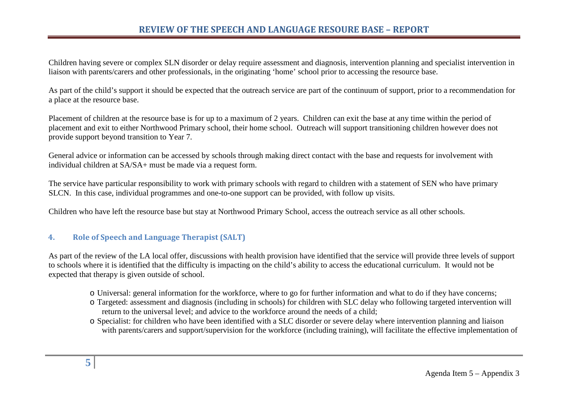Children having severe or complex SLN disorder or delay require assessment and diagnosis, intervention planning and specialist intervention in liaison with parents/carers and other professionals, in the originating 'home' school prior to accessing the resource base.

As part of the child's support it should be expected that the outreach service are part of the continuum of support, prior to a recommendation for a place at the resource base.

Placement of children at the resource base is for up to a maximum of 2 years. Children can exit the base at any time within the period of placement and exit to either Northwood Primary school, their home school. Outreach will support transitioning children however does not provide support beyond transition to Year 7.

General advice or information can be accessed by schools through making direct contact with the base and requests for involvement with individual children at SA/SA+ must be made via a request form.

The service have particular responsibility to work with primary schools with regard to children with a statement of SEN who have primary SLCN. In this case, individual programmes and one-to-one support can be provided, with follow up visits.

Children who have left the resource base but stay at Northwood Primary School, access the outreach service as all other schools.

## <span id="page-4-0"></span>**4. Role of Speech and Language Therapist (SALT)**

As part of the review of the LA local offer, discussions with health provision have identified that the service will provide three levels of support to schools where it is identified that the difficulty is impacting on the child's ability to access the educational curriculum. It would not be expected that therapy is given outside of school.

- o Universal: general information for the workforce, where to go for further information and what to do if they have concerns;
- o Targeted: assessment and diagnosis (including in schools) for children with SLC delay who following targeted intervention will return to the universal level; and advice to the workforce around the needs of a child;
- o Specialist: for children who have been identified with a SLC disorder or severe delay where intervention planning and liaison with parents/carers and support/supervision for the workforce (including training), will facilitate the effective implementation of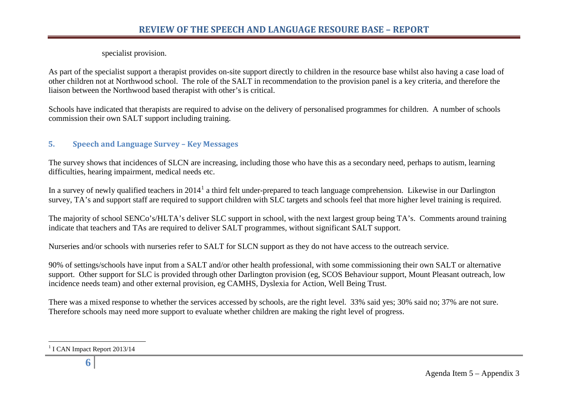<span id="page-5-1"></span>specialist provision.

As part of the specialist support a therapist provides on-site support directly to children in the resource base whilst also having a case load of other children not at Northwood school. The role of the SALT in recommendation to the provision panel is a key criteria, and therefore the liaison between the Northwood based therapist with other's is critical.

Schools have indicated that therapists are required to advise on the delivery of personalised programmes for children. A number of schools commission their own SALT support including training.

## <span id="page-5-0"></span>**5. Speech and Language Survey – Key Messages**

The survey shows that incidences of SLCN are increasing, including those who have this as a secondary need, perhaps to autism, learning difficulties, hearing impairment, medical needs etc.

In a survey of newly qualified teachers in 20[1](#page-5-1)4<sup>1</sup> a third felt under-prepared to teach language comprehension. Likewise in our Darlington survey, TA's and support staff are required to support children with SLC targets and schools feel that more higher level training is required.

The majority of school SENCo's/HLTA's deliver SLC support in school, with the next largest group being TA's. Comments around training indicate that teachers and TAs are required to deliver SALT programmes, without significant SALT support.

Nurseries and/or schools with nurseries refer to SALT for SLCN support as they do not have access to the outreach service.

90% of settings/schools have input from a SALT and/or other health professional, with some commissioning their own SALT or alternative support. Other support for SLC is provided through other Darlington provision (eg, SCOS Behaviour support, Mount Pleasant outreach, low incidence needs team) and other external provision, eg CAMHS, Dyslexia for Action, Well Being Trust.

There was a mixed response to whether the services accessed by schools, are the right level. 33% said yes; 30% said no; 37% are not sure. Therefore schools may need more support to evaluate whether children are making the right level of progress.

<sup>&</sup>lt;sup>1</sup> I CAN Impact Report 2013/14  $\overline{a}$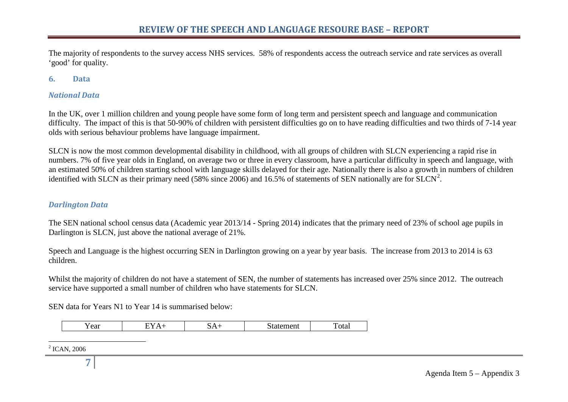<span id="page-6-1"></span>The majority of respondents to the survey access NHS services. 58% of respondents access the outreach service and rate services as overall 'good' for quality.

#### <span id="page-6-0"></span>**6. Data**

#### *National Data*

In the UK, over 1 million children and young people have some form of long term and persistent speech and language and communication difficulty. The impact of this is that 50-90% of children with persistent difficulties go on to have reading difficulties and two thirds of 7-14 year olds with serious behaviour problems have language impairment.

SLCN is now the most common developmental disability in childhood, with all groups of children with SLCN experiencing a rapid rise in numbers. 7% of five year olds in England, on average two or three in every classroom, have a particular difficulty in speech and language, with an estimated 50% of children starting school with language skills delayed for their age. Nationally there is also a growth in numbers of children identified with SLCN as their primary need (58% since [2](#page-6-1)006) and 16.5% of statements of SEN nationally are for SLCN<sup>2</sup>.

#### *Darlington Data*

The SEN national school census data (Academic year 2013/14 - Spring 2014) indicates that the primary need of 23% of school age pupils in Darlington is SLCN, just above the national average of 21%.

Speech and Language is the highest occurring SEN in Darlington growing on a year by year basis. The increase from 2013 to 2014 is 63 children.

Whilst the majority of children do not have a statement of SEN, the number of statements has increased over 25% since 2012. The outreach service have supported a small number of children who have statements for SLCN.

SEN data for Years N1 to Year 14 is summarised below:

| - -<br>Y ear | --- | _<br>-- | $\sim$<br>™uen.<br>______ | ᠇᠇<br>1 o cui |
|--------------|-----|---------|---------------------------|---------------|
|--------------|-----|---------|---------------------------|---------------|

 $^{2}$  ICAN, 2006  $\overline{a}$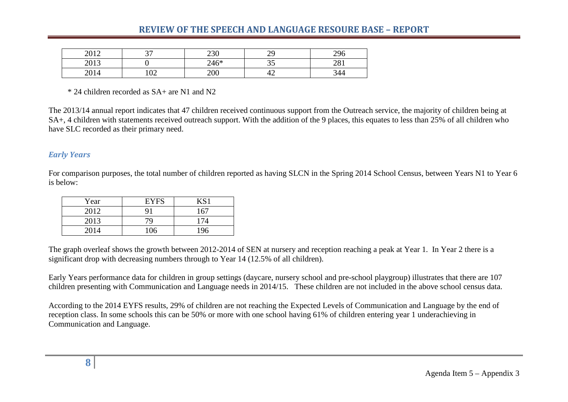| 2012<br>40 I 4 | $\cap$<br>ັ     | 230  | oc<br>ر ب | 296<br>∠∠∪ |
|----------------|-----------------|------|-----------|------------|
| 2012<br>201J   |                 | 246* | ິ         | 201<br>201 |
| 2014           | $\Omega$<br>⊥∪∠ | 200  | ∽<br>┱∠   | 344        |

\* 24 children recorded as SA+ are N1 and N2

The 2013/14 annual report indicates that 47 children received continuous support from the Outreach service, the majority of children being at SA+, 4 children with statements received outreach support. With the addition of the 9 places, this equates to less than 25% of all children who have SLC recorded as their primary need.

#### *Early Years*

For comparison purposes, the total number of children reported as having SLCN in the Spring 2014 School Census, between Years N1 to Year 6 is below:

| Year | <b>EYFS</b> | KS1 |
|------|-------------|-----|
| 2012 |             | 167 |
| 2013 | 79          | 174 |
| 2014 | 106         | 196 |

The graph overleaf shows the growth between 2012-2014 of SEN at nursery and reception reaching a peak at Year 1. In Year 2 there is a significant drop with decreasing numbers through to Year 14 (12.5% of all children).

Early Years performance data for children in group settings (daycare, nursery school and pre-school playgroup) illustrates that there are 107 children presenting with Communication and Language needs in 2014/15. These children are not included in the above school census data.

According to the 2014 EYFS results, 29% of children are not reaching the Expected Levels of Communication and Language by the end of reception class. In some schools this can be 50% or more with one school having 61% of children entering year 1 underachieving in Communication and Language.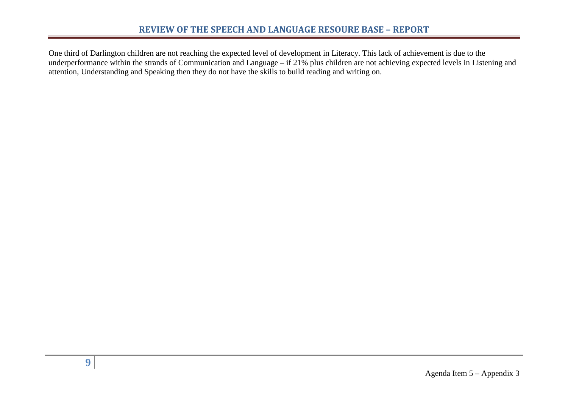One third of Darlington children are not reaching the expected level of development in Literacy. This lack of achievement is due to the underperformance within the strands of Communication and Language – if 21% plus children are not achieving expected levels in Listening and attention, Understanding and Speaking then they do not have the skills to build reading and writing on.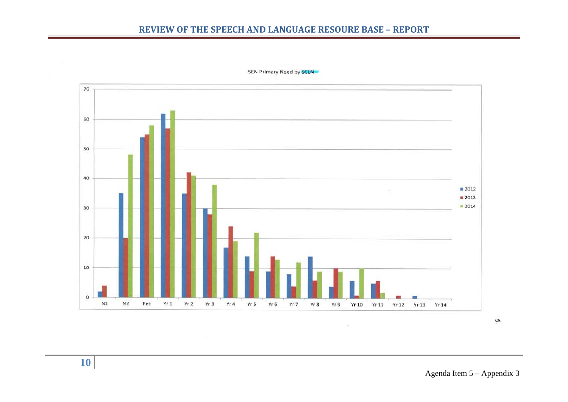

SEN Primary Need by SCLN

λ,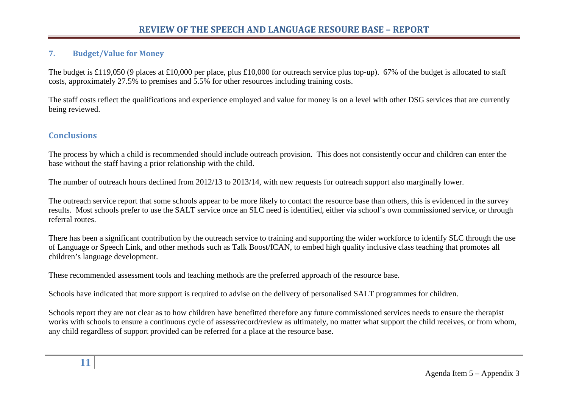#### <span id="page-10-0"></span>**7. Budget/Value for Money**

The budget is £119,050 (9 places at £10,000 per place, plus £10,000 for outreach service plus top-up). 67% of the budget is allocated to staff costs, approximately 27.5% to premises and 5.5% for other resources including training costs.

The staff costs reflect the qualifications and experience employed and value for money is on a level with other DSG services that are currently being reviewed.

## <span id="page-10-1"></span>**Conclusions**

The process by which a child is recommended should include outreach provision. This does not consistently occur and children can enter the base without the staff having a prior relationship with the child.

The number of outreach hours declined from 2012/13 to 2013/14, with new requests for outreach support also marginally lower.

The outreach service report that some schools appear to be more likely to contact the resource base than others, this is evidenced in the survey results. Most schools prefer to use the SALT service once an SLC need is identified, either via school's own commissioned service, or through referral routes.

There has been a significant contribution by the outreach service to training and supporting the wider workforce to identify SLC through the use of Language or Speech Link, and other methods such as Talk Boost/ICAN, to embed high quality inclusive class teaching that promotes all children's language development.

These recommended assessment tools and teaching methods are the preferred approach of the resource base.

Schools have indicated that more support is required to advise on the delivery of personalised SALT programmes for children.

Schools report they are not clear as to how children have benefitted therefore any future commissioned services needs to ensure the therapist works with schools to ensure a continuous cycle of assess/record/review as ultimately, no matter what support the child receives, or from whom, any child regardless of support provided can be referred for a place at the resource base.